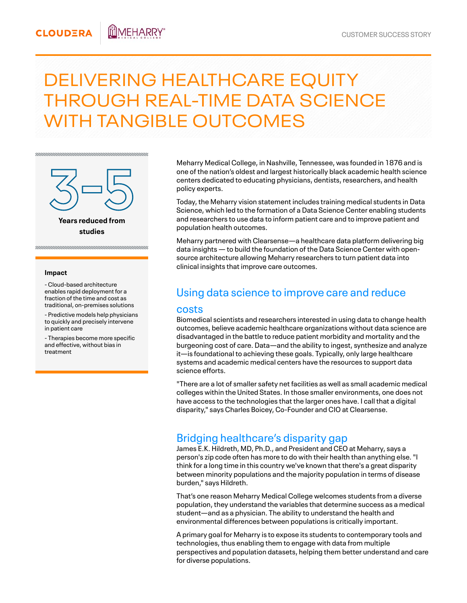#### **CLOUDERA** mmeharry

# DELIVERING HEALTHCARE EQUITY THROUGH REAL-TIME DATA SCIENCE WITH TANGIBLE OUTCOMES



#### **Impact**

- Cloud-based architecture enables rapid deployment for a fraction of the time and cost as traditional, on-premises solutions

- Predictive models help physicians to quickly and precisely intervene in patient care

- Therapies become more specific and effective, without bias in treatment

Meharry Medical College, in Nashville, Tennessee, was founded in 1876 and is one of the nation's oldest and largest historically black academic health science centers dedicated to educating physicians, dentists, researchers, and health policy experts.

Today, the Meharry vision statement includes training medical students in Data Science, which led to the formation of a Data Science Center enabling students and researchers to use data to inform patient care and to improve patient and population health outcomes.

Meharry partnered with Clearsense—a healthcare data platform delivering big data insights — to build the foundation of the Data Science Center with opensource architecture allowing Meharry researchers to turn patient data into clinical insights that improve care outcomes.

## Using data science to improve care and reduce

#### costs

Biomedical scientists and researchers interested in using data to change health outcomes, believe academic healthcare organizations without data science are disadvantaged in the battle to reduce patient morbidity and mortality and the burgeoning cost of care. Data—and the ability to ingest, synthesize and analyze it—is foundational to achieving these goals. Typically, only large healthcare systems and academic medical centers have the resources to support data science efforts.

"There are a lot of smaller safety net facilities as well as small academic medical colleges within the United States. In those smaller environments, one does not have access to the technologies that the larger ones have. I call that a digital disparity," says Charles Boicey, Co-Founder and CIO at Clearsense.

### Bridging healthcare's disparity gap

James E.K. Hildreth, MD, Ph.D., and President and CEO at Meharry, says a person's zip code often has more to do with their health than anything else. "I think for a long time in this country we've known that there's a great disparity between minority populations and the majority population in terms of disease burden," says Hildreth.

That's one reason Meharry Medical College welcomes students from a diverse population, they understand the variables that determine success as a medical student—and as a physician. The ability to understand the health and environmental differences between populations is critically important.

A primary goal for Meharry is to expose its students to contemporary tools and technologies, thus enabling them to engage with data from multiple perspectives and population datasets, helping them better understand and care for diverse populations.